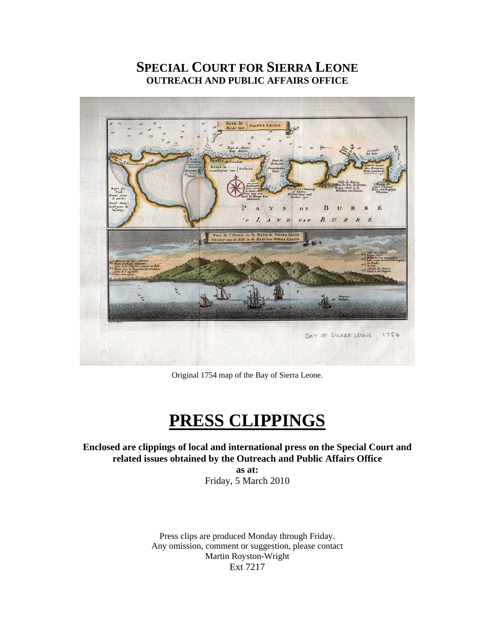## **SPECIAL COURT FOR SIERRA LEONE OUTREACH AND PUBLIC AFFAIRS OFFICE**



Original 1754 map of the Bay of Sierra Leone.

## **PRESS CLIPPINGS**

**Enclosed are clippings of local and international press on the Special Court and related issues obtained by the Outreach and Public Affairs Office** 

**as at:**  Friday, 5 March 2010

Press clips are produced Monday through Friday. Any omission, comment or suggestion, please contact Martin Royston-Wright Ext 7217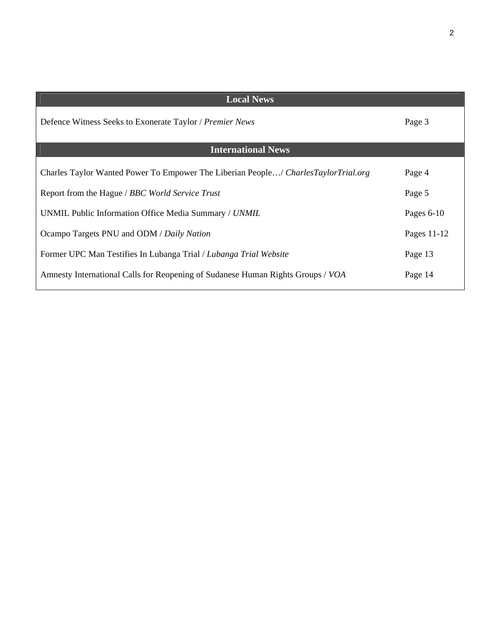| <b>Local News</b>                                                                  |              |
|------------------------------------------------------------------------------------|--------------|
| Defence Witness Seeks to Exonerate Taylor / Premier News                           | Page 3       |
| <b>International News</b>                                                          |              |
| Charles Taylor Wanted Power To Empower The Liberian People/ CharlesTaylorTrial.org | Page 4       |
| Report from the Hague / BBC World Service Trust                                    | Page 5       |
| UNMIL Public Information Office Media Summary / UNMIL                              | Pages $6-10$ |
| Ocampo Targets PNU and ODM / Daily Nation                                          | Pages 11-12  |
| Former UPC Man Testifies In Lubanga Trial / Lubanga Trial Website                  | Page 13      |
| Amnesty International Calls for Reopening of Sudanese Human Rights Groups / VOA    | Page 14      |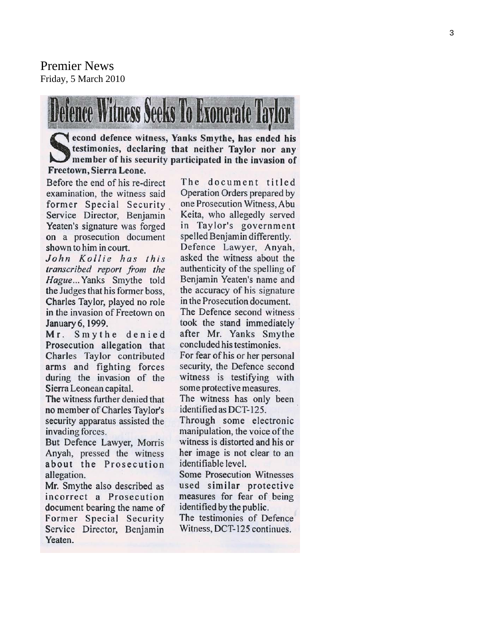Premier News Friday, 5 March 2010



econd defence witness, Yanks Smythe, has ended his<br>Sectional Section of that neither Taylor nor any testimonies, declaring that neither Taylor nor any member of his security participated in the invasion of Freetown, Sierra Leone.

Before the end of his re-direct examination, the witness said former Special Security Service Director, Benjamin Yeaten's signature was forged on a prosecution document shown to him in court.

John Kollie has this transcribed report from the Hague... Yanks Smythe told the Judges that his former boss. Charles Taylor, played no role in the invasion of Freetown on January 6, 1999.

Mr. Smythe denied Prosecution allegation that Charles Taylor contributed arms and fighting forces during the invasion of the Sierra Leonean capital.

The witness further denied that no member of Charles Taylor's security apparatus assisted the invading forces.

But Defence Lawyer, Morris Anyah, pressed the witness about the Prosecution allegation.

Mr. Smythe also described as incorrect a Prosecution document bearing the name of Former Special Security Service Director, Benjamin Yeaten.

The document titled Operation Orders prepared by one Prosecution Witness, Abu Keita, who allegedly served Taylor's government in spelled Benjamin differently. Defence Lawyer, Anyah, asked the witness about the authenticity of the spelling of Benjamin Yeaten's name and the accuracy of his signature in the Prosecution document. The Defence second witness took the stand immediately after Mr. Yanks Smythe concluded his testimonies. For fear of his or her personal security, the Defence second witness is testifying with some protective measures. The witness has only been identified as DCT-125. Through some electronic manipulation, the voice of the witness is distorted and his or her image is not clear to an identifiable level. Some Prosecution Witnesses

used similar protective measures for fear of being identified by the public.

The testimonies of Defence Witness, DCT-125 continues.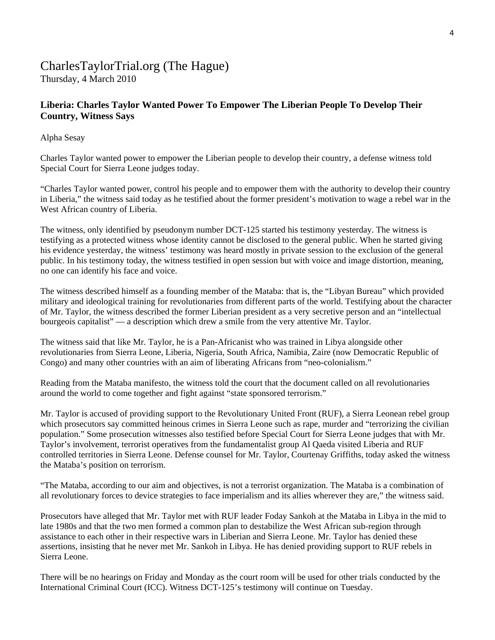# CharlesTaylorTrial.org (The Hague)

Thursday, 4 March 2010

## **Liberia: Charles Taylor Wanted Power To Empower The Liberian People To Develop Their Country, Witness Says**

#### Alpha Sesay

Charles Taylor wanted power to empower the Liberian people to develop their country, a defense witness told Special Court for Sierra Leone judges today.

"Charles Taylor wanted power, control his people and to empower them with the authority to develop their country in Liberia," the witness said today as he testified about the former president's motivation to wage a rebel war in the West African country of Liberia.

The witness, only identified by pseudonym number DCT-125 started his testimony yesterday. The witness is testifying as a protected witness whose identity cannot be disclosed to the general public. When he started giving his evidence yesterday, the witness' testimony was heard mostly in private session to the exclusion of the general public. In his testimony today, the witness testified in open session but with voice and image distortion, meaning, no one can identify his face and voice.

The witness described himself as a founding member of the Mataba: that is, the "Libyan Bureau" which provided military and ideological training for revolutionaries from different parts of the world. Testifying about the character of Mr. Taylor, the witness described the former Liberian president as a very secretive person and an "intellectual bourgeois capitalist" — a description which drew a smile from the very attentive Mr. Taylor.

The witness said that like Mr. Taylor, he is a Pan-Africanist who was trained in Libya alongside other revolutionaries from Sierra Leone, Liberia, Nigeria, South Africa, Namibia, Zaire (now Democratic Republic of Congo) and many other countries with an aim of liberating Africans from "neo-colonialism."

Reading from the Mataba manifesto, the witness told the court that the document called on all revolutionaries around the world to come together and fight against "state sponsored terrorism."

Mr. Taylor is accused of providing support to the Revolutionary United Front (RUF), a Sierra Leonean rebel group which prosecutors say committed heinous crimes in Sierra Leone such as rape, murder and "terrorizing the civilian population." Some prosecution witnesses also testified before Special Court for Sierra Leone judges that with Mr. Taylor's involvement, terrorist operatives from the fundamentalist group Al Qaeda visited Liberia and RUF controlled territories in Sierra Leone. Defense counsel for Mr. Taylor, Courtenay Griffiths, today asked the witness the Mataba's position on terrorism.

"The Mataba, according to our aim and objectives, is not a terrorist organization. The Mataba is a combination of all revolutionary forces to device strategies to face imperialism and its allies wherever they are," the witness said.

Prosecutors have alleged that Mr. Taylor met with RUF leader Foday Sankoh at the Mataba in Libya in the mid to late 1980s and that the two men formed a common plan to destabilize the West African sub-region through assistance to each other in their respective wars in Liberian and Sierra Leone. Mr. Taylor has denied these assertions, insisting that he never met Mr. Sankoh in Libya. He has denied providing support to RUF rebels in Sierra Leone.

There will be no hearings on Friday and Monday as the court room will be used for other trials conducted by the International Criminal Court (ICC). Witness DCT-125's testimony will continue on Tuesday.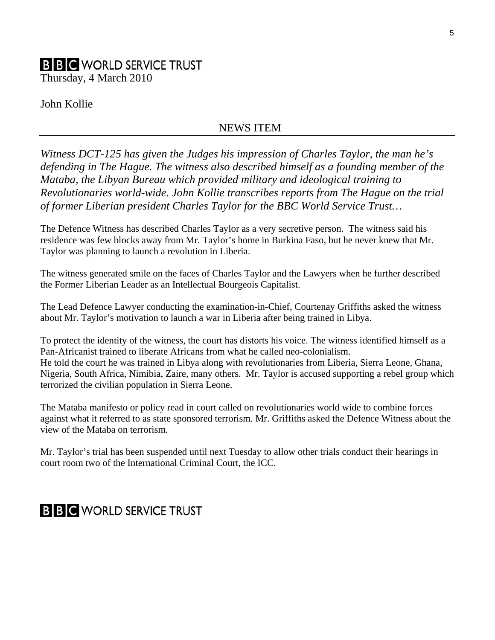# **B B C** WORLD SERVICE TRUST

Thursday, 4 March 2010

John Kollie

## NEWS ITEM

*Witness DCT-125 has given the Judges his impression of Charles Taylor, the man he's defending in The Hague. The witness also described himself as a founding member of the Mataba, the Libyan Bureau which provided military and ideological training to Revolutionaries world-wide. John Kollie transcribes reports from The Hague on the trial of former Liberian president Charles Taylor for the BBC World Service Trust…* 

The Defence Witness has described Charles Taylor as a very secretive person. The witness said his residence was few blocks away from Mr. Taylor's home in Burkina Faso, but he never knew that Mr. Taylor was planning to launch a revolution in Liberia.

The witness generated smile on the faces of Charles Taylor and the Lawyers when he further described the Former Liberian Leader as an Intellectual Bourgeois Capitalist.

The Lead Defence Lawyer conducting the examination-in-Chief, Courtenay Griffiths asked the witness about Mr. Taylor's motivation to launch a war in Liberia after being trained in Libya.

To protect the identity of the witness, the court has distorts his voice. The witness identified himself as a Pan-Africanist trained to liberate Africans from what he called neo-colonialism. He told the court he was trained in Libya along with revolutionaries from Liberia, Sierra Leone, Ghana, Nigeria, South Africa, Nimibia, Zaire, many others. Mr. Taylor is accused supporting a rebel group which terrorized the civilian population in Sierra Leone.

The Mataba manifesto or policy read in court called on revolutionaries world wide to combine forces against what it referred to as state sponsored terrorism. Mr. Griffiths asked the Defence Witness about the view of the Mataba on terrorism.

Mr. Taylor's trial has been suspended until next Tuesday to allow other trials conduct their hearings in court room two of the International Criminal Court, the ICC.

## **B B C** WORLD SERVICE TRUST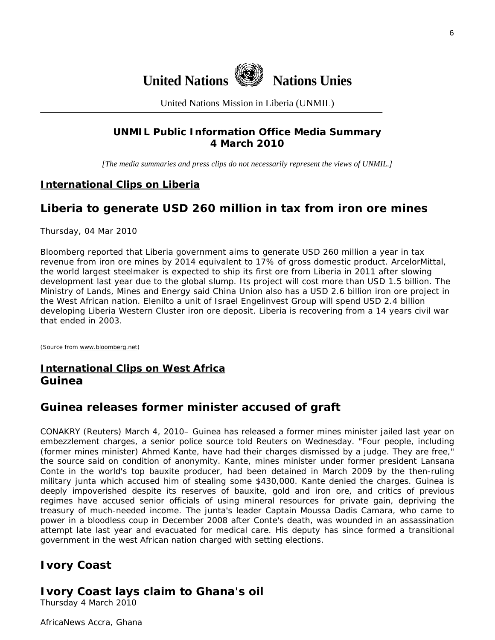

United Nations Mission in Liberia (UNMIL)

## **UNMIL Public Information Office Media Summary 4 March 2010**

*[The media summaries and press clips do not necessarily represent the views of UNMIL.]* 

#### **International Clips on Liberia**

## **Liberia to generate USD 260 million in tax from iron ore mines**

Thursday, 04 Mar 2010

Bloomberg reported that Liberia government aims to generate USD 260 million a year in tax revenue from iron ore mines by 2014 equivalent to 17% of gross domestic product. ArcelorMittal, the world largest steelmaker is expected to ship its first ore from Liberia in 2011 after slowing development last year due to the global slump. Its project will cost more than USD 1.5 billion. The Ministry of Lands, Mines and Energy said China Union also has a USD 2.6 billion iron ore project in the West African nation. Elenilto a unit of Israel Engelinvest Group will spend USD 2.4 billion developing Liberia Western Cluster iron ore deposit. Liberia is recovering from a 14 years civil war that ended in 2003.

(Source from [www.bloomberg.net\)](http://www.bloomberg.net/)

## **International Clips on West Africa Guinea**

## **Guinea releases former minister accused of graft**

CONAKRY (Reuters) March 4, 2010– Guinea has released a former mines minister jailed last year on embezzlement charges, a senior police source told Reuters on Wednesday. "Four people, including (former mines minister) Ahmed Kante, have had their charges dismissed by a judge. They are free," the source said on condition of anonymity. Kante, mines minister under former president Lansana Conte in the world's top bauxite producer, had been detained in March 2009 by the then-ruling military junta which accused him of stealing some \$430,000. Kante denied the charges. Guinea is deeply impoverished despite its reserves of bauxite, gold and iron ore, and critics of previous regimes have accused senior officials of using mineral resources for private gain, depriving the treasury of much-needed income. The junta's leader Captain Moussa Dadis Camara, who came to power in a bloodless coup in December 2008 after Conte's death, was wounded in an assassination attempt late last year and evacuated for medical care. His deputy has since formed a transitional government in the west African nation charged with setting elections.

## **Ivory Coast**

## **Ivory Coast lays claim to Ghana's oil**

Thursday 4 March 2010

AfricaNews Accra, Ghana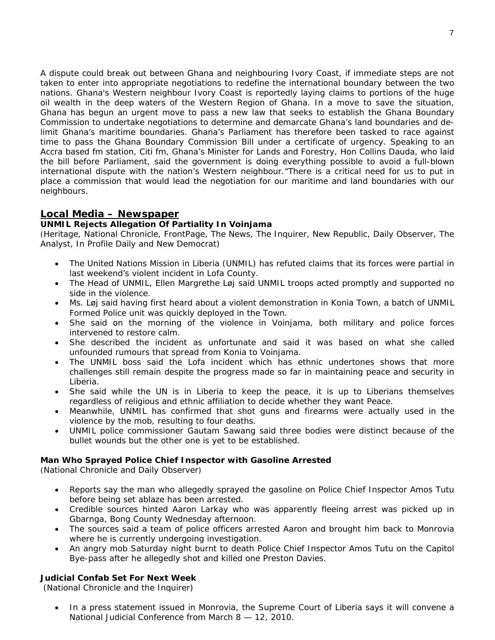A dispute could break out between Ghana and neighbouring Ivory Coast, if immediate steps are not taken to enter into appropriate negotiations to redefine the international boundary between the two nations. Ghana's Western neighbour Ivory Coast is reportedly laying claims to portions of the huge oil wealth in the deep waters of the Western Region of Ghana. In a move to save the situation, Ghana has begun an urgent move to pass a new law that seeks to establish the Ghana Boundary Commission to undertake negotiations to determine and demarcate Ghana's land boundaries and delimit Ghana's maritime boundaries. Ghana's Parliament has therefore been tasked to race against time to pass the Ghana Boundary Commission Bill under a certificate of urgency. Speaking to an Accra based fm station, Citi fm, Ghana's Minister for Lands and Forestry, Hon Collins Dauda, who laid the bill before Parliament, said the government is doing everything possible to avoid a full-blown international dispute with the nation's Western neighbour."There is a critical need for us to put in place a commission that would lead the negotiation for our maritime and land boundaries with our neighbours.

## **Local Media – Newspaper**

## **UNMIL Rejects Allegation Of Partiality In Voinjama**

(Heritage, National Chronicle, FrontPage, The News, The Inquirer, New Republic, Daily Observer, The Analyst, In Profile Daily and New Democrat)

- The United Nations Mission in Liberia (UNMIL) has refuted claims that its forces were partial in last weekend's violent incident in Lofa County.
- The Head of UNMIL, Ellen Margrethe Løj said UNMIL troops acted promptly and supported no side in the violence.
- Ms. Løj said having first heard about a violent demonstration in Konia Town, a batch of UNMIL Formed Police unit was quickly deployed in the Town.
- She said on the morning of the violence in Voinjama, both military and police forces intervened to restore calm.
- She described the incident as unfortunate and said it was based on what she called unfounded rumours that spread from Konia to Voinjama.
- The UNMIL boss said the Lofa incident which has ethnic undertones shows that more challenges still remain despite the progress made so far in maintaining peace and security in Liberia.
- She said while the UN is in Liberia to keep the peace, it is up to Liberians themselves regardless of religious and ethnic affiliation to decide whether they want Peace.
- Meanwhile, UNMIL has confirmed that shot guns and firearms were actually used in the violence by the mob, resulting to four deaths.
- UNMIL police commissioner Gautam Sawang said three bodies were distinct because of the bullet wounds but the other one is yet to be established.

#### **Man Who Sprayed Police Chief Inspector with Gasoline Arrested**

(National Chronicle and Daily Observer)

- Reports say the man who allegedly sprayed the gasoline on Police Chief Inspector Amos Tutu before being set ablaze has been arrested.
- Credible sources hinted Aaron Larkay who was apparently fleeing arrest was picked up in Gbarnga, Bong County Wednesday afternoon.
- The sources said a team of police officers arrested Aaron and brought him back to Monrovia where he is currently undergoing investigation.
- An angry mob Saturday night burnt to death Police Chief Inspector Amos Tutu on the Capitol Bye-pass after he allegedly shot and killed one Preston Davies.

#### **Judicial Confab Set For Next Week**

(National Chronicle and the Inquirer)

• In a press statement issued in Monrovia, the Supreme Court of Liberia says it will convene a National Judicial Conference from March 8 — 12, 2010.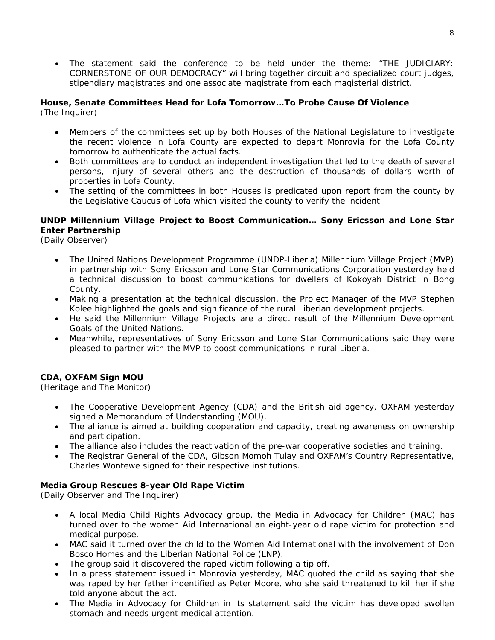• The statement said the conference to be held under the theme: "THE JUDICIARY: CORNERSTONE OF OUR DEMOCRACY" will bring together circuit and specialized court judges, stipendiary magistrates and one associate magistrate from each magisterial district.

#### **House, Senate Committees Head for Lofa Tomorrow…To Probe Cause Of Violence**  (The Inquirer)

- Members of the committees set up by both Houses of the National Legislature to investigate the recent violence in Lofa County are expected to depart Monrovia for the Lofa County tomorrow to authenticate the actual facts.
- Both committees are to conduct an independent investigation that led to the death of several persons, injury of several others and the destruction of thousands of dollars worth of properties in Lofa County.
- The setting of the committees in both Houses is predicated upon report from the county by the Legislative Caucus of Lofa which visited the county to verify the incident.

#### **UNDP Millennium Village Project to Boost Communication… Sony Ericsson and Lone Star Enter Partnership**

(Daily Observer)

- The United Nations Development Programme (UNDP-Liberia) Millennium Village Project (MVP) in partnership with Sony Ericsson and Lone Star Communications Corporation yesterday held a technical discussion to boost communications for dwellers of Kokoyah District in Bong County.
- Making a presentation at the technical discussion, the Project Manager of the MVP Stephen Kolee highlighted the goals and significance of the rural Liberian development projects.
- He said the Millennium Village Projects are a direct result of the Millennium Development Goals of the United Nations.
- Meanwhile, representatives of Sony Ericsson and Lone Star Communications said they were pleased to partner with the MVP to boost communications in rural Liberia.

#### **CDA, OXFAM Sign MOU**

(Heritage and The Monitor)

- The Cooperative Development Agency (CDA) and the British aid agency, OXFAM yesterday signed a Memorandum of Understanding (MOU).
- The alliance is aimed at building cooperation and capacity, creating awareness on ownership and participation.
- The alliance also includes the reactivation of the pre-war cooperative societies and training.
- The Registrar General of the CDA, Gibson Momoh Tulay and OXFAM's Country Representative, Charles Wontewe signed for their respective institutions.

#### **Media Group Rescues 8-year Old Rape Victim**

(Daily Observer and The Inquirer)

- A local Media Child Rights Advocacy group, the Media in Advocacy for Children (MAC) has turned over to the women Aid International an eight-year old rape victim for protection and medical purpose.
- MAC said it turned over the child to the Women Aid International with the involvement of Don Bosco Homes and the Liberian National Police (LNP).
- The group said it discovered the raped victim following a tip off.
- In a press statement issued in Monrovia yesterday, MAC quoted the child as saying that she was raped by her father indentified as Peter Moore, who she said threatened to kill her if she told anyone about the act.
- The Media in Advocacy for Children in its statement said the victim has developed swollen stomach and needs urgent medical attention.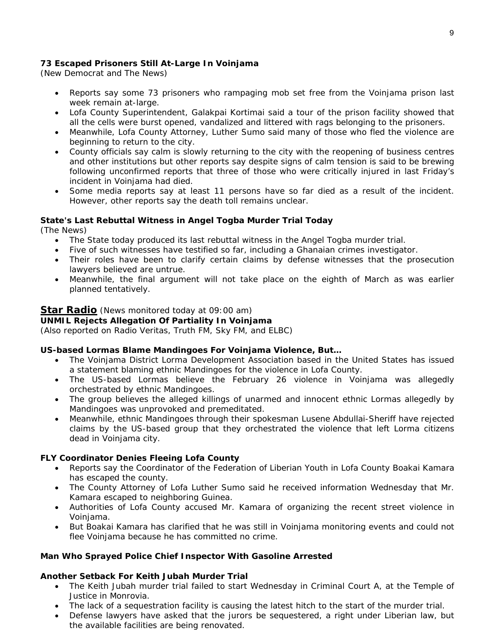#### **73 Escaped Prisoners Still At-Large In Voinjama**

(New Democrat and The News)

- Reports say some 73 prisoners who rampaging mob set free from the Voinjama prison last week remain at-large.
- Lofa County Superintendent, Galakpai Kortimai said a tour of the prison facility showed that all the cells were burst opened, vandalized and littered with rags belonging to the prisoners.
- Meanwhile, Lofa County Attorney, Luther Sumo said many of those who fled the violence are beginning to return to the city.
- County officials say calm is slowly returning to the city with the reopening of business centres and other institutions but other reports say despite signs of calm tension is said to be brewing following unconfirmed reports that three of those who were critically injured in last Friday's incident in Voinjama had died.
- Some media reports say at least 11 persons have so far died as a result of the incident. However, other reports say the death toll remains unclear.

#### **State's Last Rebuttal Witness in Angel Togba Murder Trial Today**

(The News)

- The State today produced its last rebuttal witness in the Angel Togba murder trial.
- Five of such witnesses have testified so far, including a Ghanaian crimes investigator.
- Their roles have been to clarify certain claims by defense witnesses that the prosecution lawyers believed are untrue.
- Meanwhile, the final argument will not take place on the eighth of March as was earlier planned tentatively.

#### **Star Radio** *(News monitored today at 09:00 am)*

#### **UNMIL Rejects Allegation Of Partiality In Voinjama**

*(Also reported on Radio Veritas, Truth FM, Sky FM, and ELBC)*

#### **US-based Lormas Blame Mandingoes For Voinjama Violence, But…**

- The Voinjama District Lorma Development Association based in the United States has issued a statement blaming ethnic Mandingoes for the violence in Lofa County.
- The US-based Lormas believe the February 26 violence in Voinjama was allegedly orchestrated by ethnic Mandingoes.
- The group believes the alleged killings of unarmed and innocent ethnic Lormas allegedly by Mandingoes was unprovoked and premeditated.
- Meanwhile, ethnic Mandingoes through their spokesman Lusene Abdullai-Sheriff have rejected claims by the US-based group that they orchestrated the violence that left Lorma citizens dead in Voinjama city.

#### **FLY Coordinator Denies Fleeing Lofa County**

- Reports say the Coordinator of the Federation of Liberian Youth in Lofa County Boakai Kamara has escaped the county.
- The County Attorney of Lofa Luther Sumo said he received information Wednesday that Mr. Kamara escaped to neighboring Guinea.
- Authorities of Lofa County accused Mr. Kamara of organizing the recent street violence in Voinjama.
- But Boakai Kamara has clarified that he was still in Voinjama monitoring events and could not flee Voinjama because he has committed no crime.

#### **Man Who Sprayed Police Chief Inspector With Gasoline Arrested**

#### **Another Setback For Keith Jubah Murder Trial**

- The Keith Jubah murder trial failed to start Wednesday in Criminal Court A, at the Temple of Justice in Monrovia.
- The lack of a sequestration facility is causing the latest hitch to the start of the murder trial.
- Defense lawyers have asked that the jurors be sequestered, a right under Liberian law, but the available facilities are being renovated.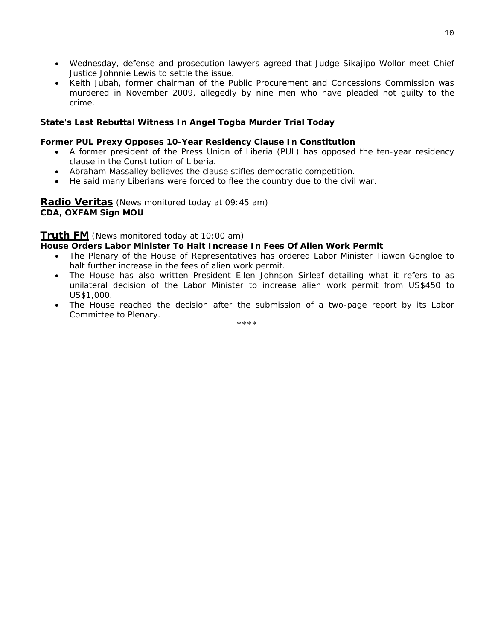- Wednesday, defense and prosecution lawyers agreed that Judge Sikajipo Wollor meet Chief Justice Johnnie Lewis to settle the issue.
- Keith Jubah, former chairman of the Public Procurement and Concessions Commission was murdered in November 2009, allegedly by nine men who have pleaded not guilty to the crime.

#### **State's Last Rebuttal Witness In Angel Togba Murder Trial Today**

#### **Former PUL Prexy Opposes 10-Year Residency Clause In Constitution**

- A former president of the Press Union of Liberia (PUL) has opposed the ten-year residency clause in the Constitution of Liberia.
- Abraham Massalley believes the clause stifles democratic competition.
- He said many Liberians were forced to flee the country due to the civil war.

#### **Radio Veritas** *(News monitored today at 09:45 am)* **CDA, OXFAM Sign MOU**

#### **Truth FM** *(News monitored today at 10:00 am)*

#### **House Orders Labor Minister To Halt Increase In Fees Of Alien Work Permit**

- The Plenary of the House of Representatives has ordered Labor Minister Tiawon Gongloe to halt further increase in the fees of alien work permit.
- The House has also written President Ellen Johnson Sirleaf detailing what it refers to as unilateral decision of the Labor Minister to increase alien work permit from US\$450 to US\$1,000.
- The House reached the decision after the submission of a two-page report by its Labor Committee to Plenary.

\*\*\*\*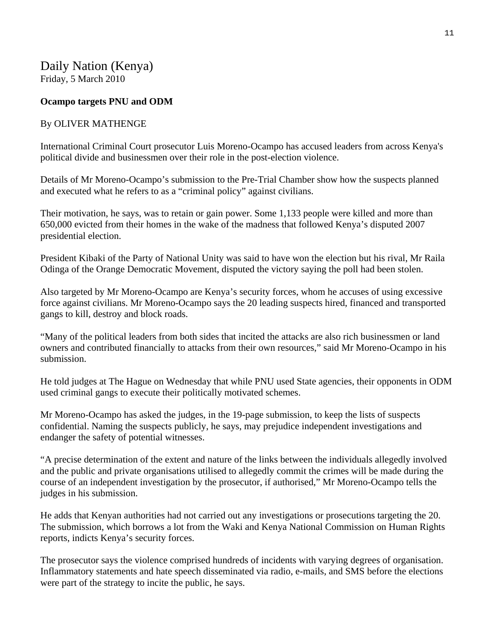## Daily Nation (Kenya) Friday, 5 March 2010

## **Ocampo targets PNU and ODM**

#### By OLIVER MATHENGE

International Criminal Court prosecutor Luis Moreno-Ocampo has accused leaders from across Kenya's political divide and businessmen over their role in the post-election violence.

Details of Mr Moreno-Ocampo's submission to the Pre-Trial Chamber show how the suspects planned and executed what he refers to as a "criminal policy" against civilians.

Their motivation, he says, was to retain or gain power. Some 1,133 people were killed and more than 650,000 evicted from their homes in the wake of the madness that followed Kenya's disputed 2007 presidential election.

President Kibaki of the Party of National Unity was said to have won the election but his rival, Mr Raila Odinga of the Orange Democratic Movement, disputed the victory saying the poll had been stolen.

Also targeted by Mr Moreno-Ocampo are Kenya's security forces, whom he accuses of using excessive force against civilians. Mr Moreno-Ocampo says the 20 leading suspects hired, financed and transported gangs to kill, destroy and block roads.

"Many of the political leaders from both sides that incited the attacks are also rich businessmen or land owners and contributed financially to attacks from their own resources," said Mr Moreno-Ocampo in his submission.

He told judges at The Hague on Wednesday that while PNU used State agencies, their opponents in ODM used criminal gangs to execute their politically motivated schemes.

Mr Moreno-Ocampo has asked the judges, in the 19-page submission, to keep the lists of suspects confidential. Naming the suspects publicly, he says, may prejudice independent investigations and endanger the safety of potential witnesses.

"A precise determination of the extent and nature of the links between the individuals allegedly involved and the public and private organisations utilised to allegedly commit the crimes will be made during the course of an independent investigation by the prosecutor, if authorised," Mr Moreno-Ocampo tells the judges in his submission.

He adds that Kenyan authorities had not carried out any investigations or prosecutions targeting the 20. The submission, which borrows a lot from the Waki and Kenya National Commission on Human Rights reports, indicts Kenya's security forces.

The prosecutor says the violence comprised hundreds of incidents with varying degrees of organisation. Inflammatory statements and hate speech disseminated via radio, e-mails, and SMS before the elections were part of the strategy to incite the public, he says.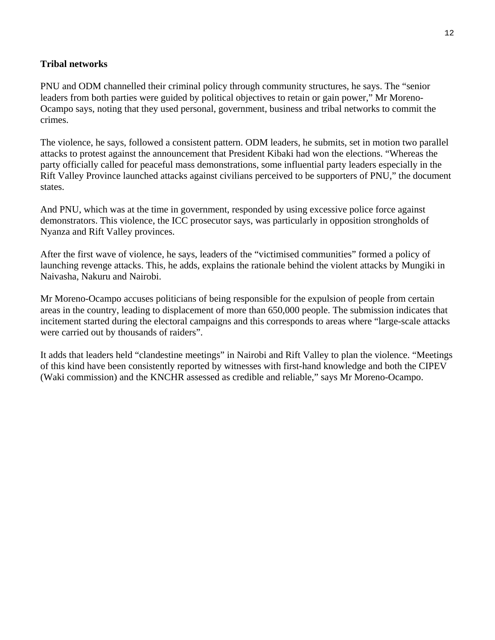#### **Tribal networks**

PNU and ODM channelled their criminal policy through community structures, he says. The "senior leaders from both parties were guided by political objectives to retain or gain power," Mr Moreno-Ocampo says, noting that they used personal, government, business and tribal networks to commit the crimes.

The violence, he says, followed a consistent pattern. ODM leaders, he submits, set in motion two parallel attacks to protest against the announcement that President Kibaki had won the elections. "Whereas the party officially called for peaceful mass demonstrations, some influential party leaders especially in the Rift Valley Province launched attacks against civilians perceived to be supporters of PNU," the document states.

And PNU, which was at the time in government, responded by using excessive police force against demonstrators. This violence, the ICC prosecutor says, was particularly in opposition strongholds of Nyanza and Rift Valley provinces.

After the first wave of violence, he says, leaders of the "victimised communities" formed a policy of launching revenge attacks. This, he adds, explains the rationale behind the violent attacks by Mungiki in Naivasha, Nakuru and Nairobi.

Mr Moreno-Ocampo accuses politicians of being responsible for the expulsion of people from certain areas in the country, leading to displacement of more than 650,000 people. The submission indicates that incitement started during the electoral campaigns and this corresponds to areas where "large-scale attacks were carried out by thousands of raiders".

It adds that leaders held "clandestine meetings" in Nairobi and Rift Valley to plan the violence. "Meetings of this kind have been consistently reported by witnesses with first-hand knowledge and both the CIPEV (Waki commission) and the KNCHR assessed as credible and reliable," says Mr Moreno-Ocampo.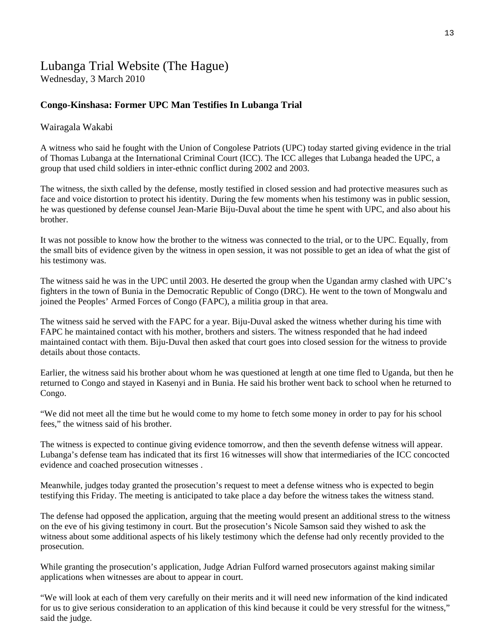## Lubanga Trial Website (The Hague)

Wednesday, 3 March 2010

## **Congo-Kinshasa: Former UPC Man Testifies In Lubanga Trial**

#### Wairagala Wakabi

A witness who said he fought with the Union of Congolese Patriots (UPC) today started giving evidence in the trial of Thomas Lubanga at the International Criminal Court (ICC). The ICC alleges that Lubanga headed the UPC, a group that used child soldiers in inter-ethnic conflict during 2002 and 2003.

The witness, the sixth called by the defense, mostly testified in closed session and had protective measures such as face and voice distortion to protect his identity. During the few moments when his testimony was in public session, he was questioned by defense counsel Jean-Marie Biju-Duval about the time he spent with UPC, and also about his brother.

It was not possible to know how the brother to the witness was connected to the trial, or to the UPC. Equally, from the small bits of evidence given by the witness in open session, it was not possible to get an idea of what the gist of his testimony was.

The witness said he was in the UPC until 2003. He deserted the group when the Ugandan army clashed with UPC's fighters in the town of Bunia in the Democratic Republic of Congo (DRC). He went to the town of Mongwalu and joined the Peoples' Armed Forces of Congo (FAPC), a militia group in that area.

The witness said he served with the FAPC for a year. Biju-Duval asked the witness whether during his time with FAPC he maintained contact with his mother, brothers and sisters. The witness responded that he had indeed maintained contact with them. Biju-Duval then asked that court goes into closed session for the witness to provide details about those contacts.

Earlier, the witness said his brother about whom he was questioned at length at one time fled to Uganda, but then he returned to Congo and stayed in Kasenyi and in Bunia. He said his brother went back to school when he returned to Congo.

"We did not meet all the time but he would come to my home to fetch some money in order to pay for his school fees," the witness said of his brother.

The witness is expected to continue giving evidence tomorrow, and then the seventh defense witness will appear. Lubanga's defense team has indicated that its first 16 witnesses will show that intermediaries of the ICC concocted evidence and coached prosecution witnesses .

Meanwhile, judges today granted the prosecution's request to meet a defense witness who is expected to begin testifying this Friday. The meeting is anticipated to take place a day before the witness takes the witness stand.

The defense had opposed the application, arguing that the meeting would present an additional stress to the witness on the eve of his giving testimony in court. But the prosecution's Nicole Samson said they wished to ask the witness about some additional aspects of his likely testimony which the defense had only recently provided to the prosecution.

While granting the prosecution's application, Judge Adrian Fulford warned prosecutors against making similar applications when witnesses are about to appear in court.

"We will look at each of them very carefully on their merits and it will need new information of the kind indicated for us to give serious consideration to an application of this kind because it could be very stressful for the witness," said the judge.